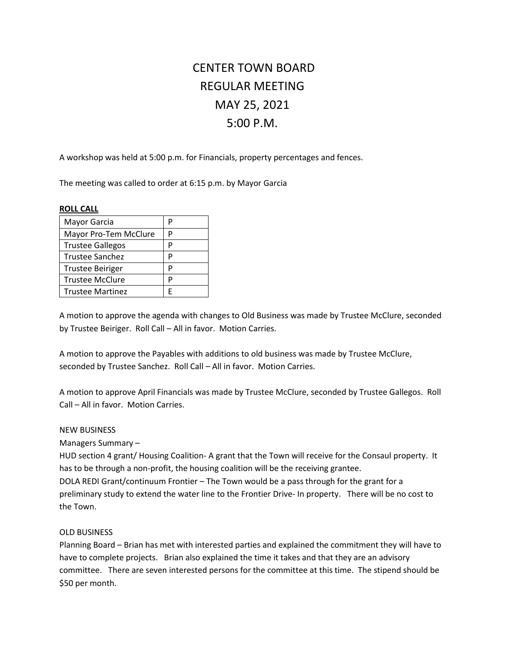# CENTER TOWN BOARD REGULAR MEETING MAY 25, 2021 5:00 P.M.

A workshop was held at 5:00 p.m. for Financials, property percentages and fences.

The meeting was called to order at 6:15 p.m. by Mayor Garcia

### **ROLL CALL**

| Mayor Garcia            | P |
|-------------------------|---|
| Mayor Pro-Tem McClure   | P |
| <b>Trustee Gallegos</b> | P |
| <b>Trustee Sanchez</b>  | P |
| <b>Trustee Beiriger</b> | D |
| <b>Trustee McClure</b>  | D |
| <b>Trustee Martinez</b> | F |

A motion to approve the agenda with changes to Old Business was made by Trustee McClure, seconded by Trustee Beiriger. Roll Call – All in favor. Motion Carries.

A motion to approve the Payables with additions to old business was made by Trustee McClure, seconded by Trustee Sanchez. Roll Call – All in favor. Motion Carries.

A motion to approve April Financials was made by Trustee McClure, seconded by Trustee Gallegos. Roll Call – All in favor. Motion Carries.

### NEW BUSINESS

Managers Summary –

HUD section 4 grant/ Housing Coalition- A grant that the Town will receive for the Consaul property. It has to be through a non-profit, the housing coalition will be the receiving grantee.

DOLA REDI Grant/continuum Frontier – The Town would be a pass through for the grant for a preliminary study to extend the water line to the Frontier Drive- In property. There will be no cost to the Town.

### OLD BUSINESS

Planning Board – Brian has met with interested parties and explained the commitment they will have to have to complete projects. Brian also explained the time it takes and that they are an advisory committee. There are seven interested persons for the committee at this time. The stipend should be \$50 per month.